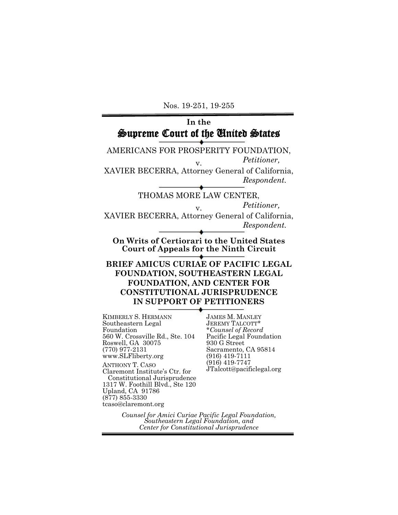Nos. 19-251, 19-255

#### **In the** Supreme Court of the United States AMERICANS FOR PROSPERITY FOUNDATION,  $Petitioner,$ XAVIER BECERRA, Attorney General of California, *Respondent.*  THOMAS MORE LAW CENTER, *Petitioner,* v. XAVIER BECERRA, Attorney General of California, *Respondent.*  **On Writs of Certiorari to the United States Court of Appeals for the Ninth Circuit BRIEF AMICUS CURIAE OF PACIFIC LEGAL FOUNDATION, SOUTHEASTERN LEGAL FOUNDATION, AND CENTER FOR CONSTITUTIONAL JURISPRUDENCE IN SUPPORT OF PETITIONERS**  KIMBERLY S. HERMANN Southeastern Legal Foundation 560 W. Crossville Rd., Ste. 104 Roswell, GA 30075 (770) 977-2131 www.SLFliberty.org ANTHONY T. CASO Claremont Institute's Ctr. for Constitutional Jurisprudence 1317 W. Foothill Blvd., Ste 120 **JAMES M. MANLEY<br>JEREMY TALCOTT\*** JEREMY TALCOTT\* \**Counsel of Record* Pacific Legal Foundation 930 G Street Sacramento, CA 95814 (916) 419-7111 (916) 419-7747 JTalcott@pacificlegal.org

*Counsel for Amici Curiae Pacific Legal Foundation, Southeastern Legal Foundation, and Center for Constitutional Jurisprudence*

Upland, CA 91786 (877) 855-3330 tcaso@claremont.org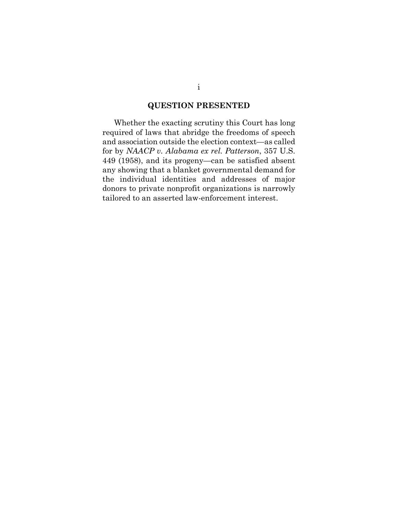### **QUESTION PRESENTED**

Whether the exacting scrutiny this Court has long required of laws that abridge the freedoms of speech and association outside the election context—as called for by *NAACP v. Alabama ex rel. Patterson*, 357 U.S. 449 (1958), and its progeny—can be satisfied absent any showing that a blanket governmental demand for the individual identities and addresses of major donors to private nonprofit organizations is narrowly tailored to an asserted law-enforcement interest.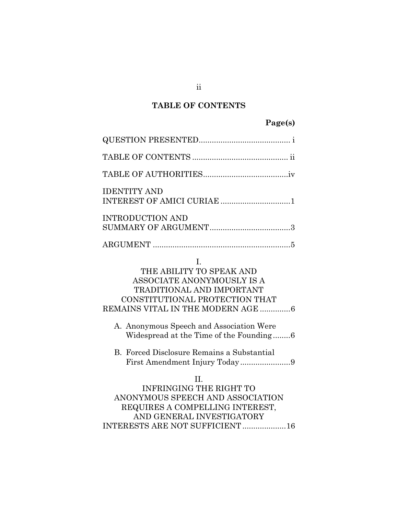# **TABLE OF CONTENTS**

# **Page(s)**

| <b>IDENTITY AND</b><br>INTEREST OF AMICI CURIAE 1                                                                                                                                                                                                              |
|----------------------------------------------------------------------------------------------------------------------------------------------------------------------------------------------------------------------------------------------------------------|
| <b>INTRODUCTION AND</b>                                                                                                                                                                                                                                        |
|                                                                                                                                                                                                                                                                |
| L.<br>THE ABILITY TO SPEAK AND<br>ASSOCIATE ANONYMOUSLY IS A<br><b>TRADITIONAL AND IMPORTANT</b><br>CONSTITUTIONAL PROTECTION THAT<br>REMAINS VITAL IN THE MODERN AGE 6<br>A. Anonymous Speech and Association Were<br>Widespread at the Time of the Founding6 |
| B. Forced Disclosure Remains a Substantial                                                                                                                                                                                                                     |
| II.<br><b>INFRINGING THE RIGHT TO</b><br>ANONYMOUS SPEECH AND ASSOCIATION<br>REQUIRES A COMPELLING INTEREST,<br>AND GENERAL INVESTIGATORY<br>INTERESTS ARE NOT SUFFICIENT 16                                                                                   |

ii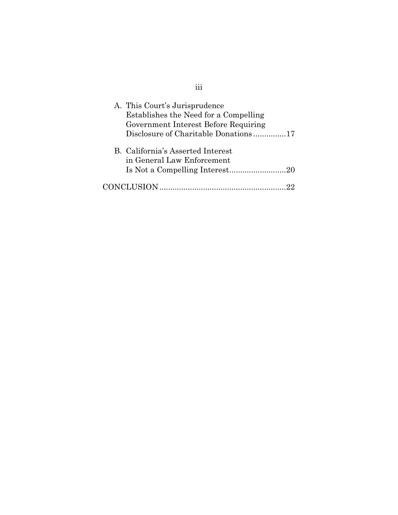| A. This Court's Jurisprudence         |
|---------------------------------------|
| Establishes the Need for a Compelling |
| Government Interest Before Requiring  |
| Disclosure of Charitable Donations17  |
| B. California's Asserted Interest     |
| in General Law Enforcement            |
|                                       |
| CONCLUSION.                           |

iii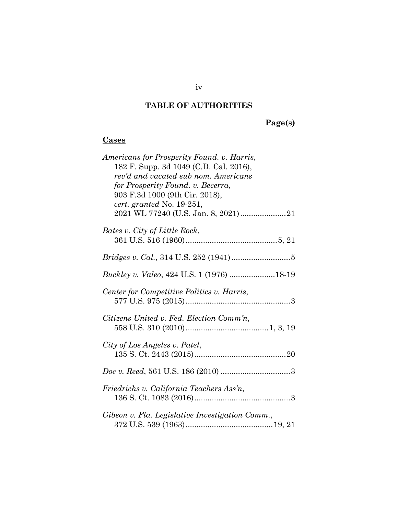### **TABLE OF AUTHORITIES**

**Page(s)**

### **Cases**

| Americans for Prosperity Found. v. Harris,<br>182 F. Supp. 3d 1049 (C.D. Cal. 2016),<br>rev'd and vacated sub nom. Americans<br>for Prosperity Found. v. Becerra,<br>903 F.3d 1000 (9th Cir. 2018),<br>cert. granted No. 19-251, |
|----------------------------------------------------------------------------------------------------------------------------------------------------------------------------------------------------------------------------------|
|                                                                                                                                                                                                                                  |
| Bates v. City of Little Rock,                                                                                                                                                                                                    |
|                                                                                                                                                                                                                                  |
| Buckley v. Valeo, 424 U.S. 1 (1976) 18-19                                                                                                                                                                                        |
| Center for Competitive Politics v. Harris,                                                                                                                                                                                       |
| Citizens United v. Fed. Election Comm'n,                                                                                                                                                                                         |
| City of Los Angeles v. Patel,                                                                                                                                                                                                    |
|                                                                                                                                                                                                                                  |
| Friedrichs v. California Teachers Ass'n,                                                                                                                                                                                         |
| Gibson v. Fla. Legislative Investigation Comm.,                                                                                                                                                                                  |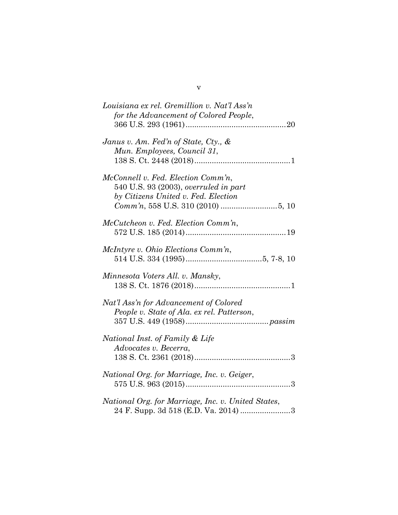| Louisiana ex rel. Gremillion v. Nat'l Ass'n<br>for the Advancement of Colored People,                              |
|--------------------------------------------------------------------------------------------------------------------|
| Janus v. Am. Fed'n of State, Cty., $\&$<br>Mun. Employees, Council 31,                                             |
| McConnell v. Fed. Election Comm'n,<br>540 U.S. 93 (2003), overruled in part<br>by Citizens United v. Fed. Election |
| McCutcheon v. Fed. Election Comm'n,                                                                                |
| McIntyre v. Ohio Elections Comm'n,                                                                                 |
| Minnesota Voters All. v. Mansky,                                                                                   |
| Nat'l Ass'n for Advancement of Colored<br>People v. State of Ala. ex rel. Patterson,                               |
| National Inst. of Family & Life<br>Advocates v. Becerra,                                                           |
| National Org. for Marriage, Inc. v. Geiger,                                                                        |
| National Org. for Marriage, Inc. v. United States,<br>24 F. Supp. 3d 518 (E.D. Va. 2014) 3                         |

v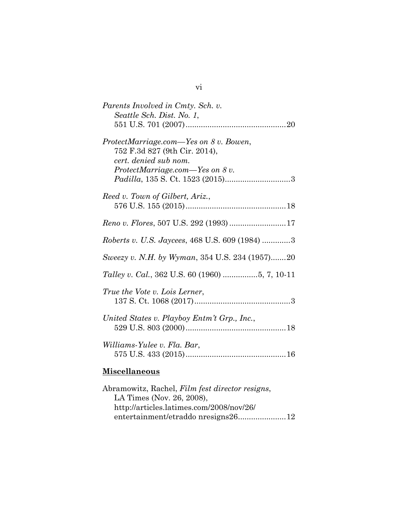| Parents Involved in Cmty. Sch. v.<br>Seattle Sch. Dist. No. 1,                                                                         |
|----------------------------------------------------------------------------------------------------------------------------------------|
| ProtectMarriage.com—Yes on 8 v. Bowen,<br>752 F.3d 827 (9th Cir. 2014),<br>cert. denied sub nom.<br>$ProtectMarriage.com$ -Yes on 8 v. |
| Reed v. Town of Gilbert, Ariz.,                                                                                                        |
|                                                                                                                                        |
| Roberts v. U.S. Jaycees, 468 U.S. 609 (1984) 3                                                                                         |
| Sweezy v. N.H. by Wyman, 354 U.S. 234 (1957)20                                                                                         |
|                                                                                                                                        |
| True the Vote v. Lois Lerner,                                                                                                          |
| United States v. Playboy Entm't Grp., Inc.,                                                                                            |
| Williams-Yulee v. Fla. Bar,                                                                                                            |
| <b>Miscellaneous</b>                                                                                                                   |

| Abramowitz, Rachel, Film fest director resigns, |  |
|-------------------------------------------------|--|
| LA Times (Nov. 26, 2008),                       |  |
| http://articles.latimes.com/2008/nov/26/        |  |
| entertainment/etraddo nresigns2612              |  |
|                                                 |  |

vi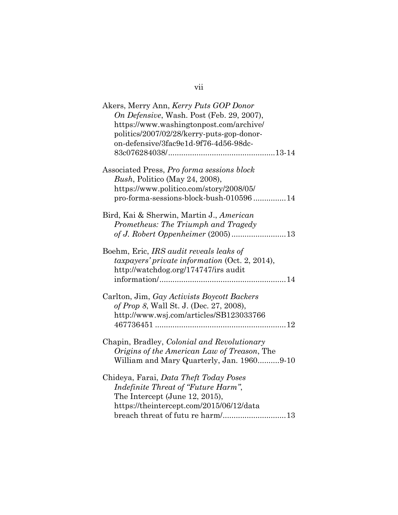# vii

| Akers, Merry Ann, Kerry Puts GOP Donor<br>On Defensive, Wash. Post (Feb. 29, 2007),<br>https://www.washingtonpost.com/archive/<br>politics/2007/02/28/kerry-puts-gop-donor-<br>on-defensive/3fac9e1d-9f76-4d56-98dc- |
|----------------------------------------------------------------------------------------------------------------------------------------------------------------------------------------------------------------------|
| Associated Press, Pro forma sessions block<br>Bush, Politico (May 24, 2008),<br>https://www.politico.com/story/2008/05/<br>pro-forma-sessions-block-bush-01059614                                                    |
| Bird, Kai & Sherwin, Martin J., American<br>Prometheus: The Triumph and Tragedy                                                                                                                                      |
| Boehm, Eric, IRS audit reveals leaks of<br>taxpayers' private information (Oct. 2, 2014),<br>http://watchdog.org/174747/irs audit                                                                                    |
| Carlton, Jim, Gay Activists Boycott Backers<br>of Prop 8, Wall St. J. (Dec. 27, 2008),<br>http://www.wsj.com/articles/SB123033766                                                                                    |
| Chapin, Bradley, Colonial and Revolutionary<br>Origins of the American Law of Treason, The<br>William and Mary Quarterly, Jan. 19609-10                                                                              |
| Chideya, Farai, Data Theft Today Poses<br>Indefinite Threat of "Future Harm",<br>The Intercept (June 12, 2015),<br>https://theintercept.com/2015/06/12/data<br>breach threat of futu re harm/13                      |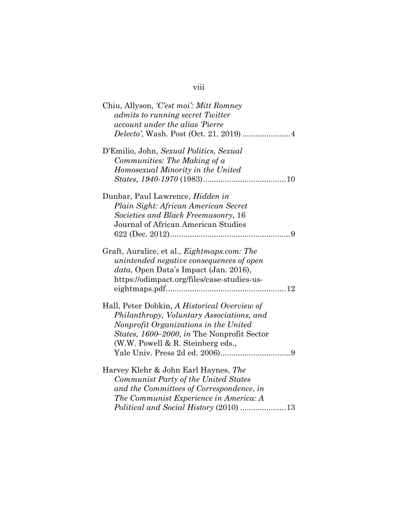### viii

| Chiu, Allyson, 'C'est moi': Mitt Romney            |
|----------------------------------------------------|
| <i>admits to running secret Twitter</i>            |
| account under the alias Pierre                     |
|                                                    |
| D'Emilio, John, Sexual Politics, Sexual            |
| Communities: The Making of a                       |
| Homosexual Minority in the United                  |
|                                                    |
| Dunbar, Paul Lawrence, <i>Hidden in</i>            |
| Plain Sight: African American Secret               |
| Societies and Black Freemasonry, 16                |
| Journal of African American Studies                |
|                                                    |
|                                                    |
| Graft, Auralice, et al., <i>Eightmaps.com: The</i> |
| unintended negative consequences of open           |
| data, Open Data's Impact (Jan. 2016),              |
| https://odimpact.org/files/case-studies-us-        |
|                                                    |
|                                                    |
| Hall, Peter Dobkin, A Historical Overview of       |
| Philanthropy, Voluntary Associations, and          |
| Nonprofit Organizations in the United              |
| States, 1600–2000, in The Nonprofit Sector         |
| (W.W. Powell $\&$ R. Steinberg eds.,               |
|                                                    |
|                                                    |
| Harvey Klehr & John Earl Haynes, The               |
| Communist Party of the United States               |
| and the Committees of Correspondence, in           |
| The Communist Experience in America: A             |
|                                                    |
|                                                    |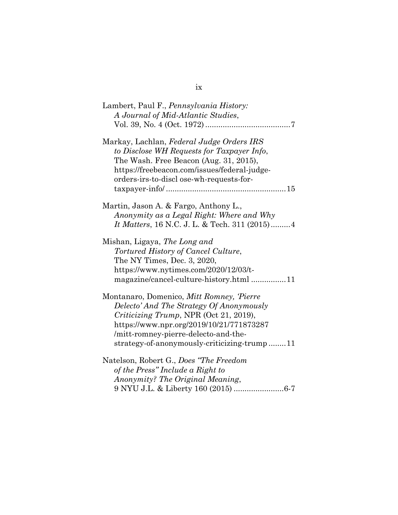| Lambert, Paul F., <i>Pennsylvania History</i> :<br>A Journal of Mid-Atlantic Studies,                                                                                                                                                                                     |
|---------------------------------------------------------------------------------------------------------------------------------------------------------------------------------------------------------------------------------------------------------------------------|
| Markay, Lachlan, Federal Judge Orders IRS<br>to Disclose WH Requests for Taxpayer Info,<br>The Wash. Free Beacon (Aug. 31, 2015),<br>https://freebeacon.com/issues/federal-judge-<br>orders-irs-to-discl ose-wh-requests-for-                                             |
| Martin, Jason A. & Fargo, Anthony L.,<br>Anonymity as a Legal Right: Where and Why<br>It Matters, 16 N.C. J. L. & Tech. 311 (2015)4                                                                                                                                       |
| Mishan, Ligaya, The Long and<br>Tortured History of Cancel Culture,<br>The NY Times, Dec. 3, 2020,<br>https://www.nytimes.com/2020/12/03/t-<br>magazine/cancel-culture-history.html 11                                                                                    |
| Montanaro, Domenico, Mitt Romney, Pierre<br>Delecto' And The Strategy Of Anonymously<br><i>Criticizing Trump</i> , NPR (Oct 21, 2019),<br>https://www.npr.org/2019/10/21/771873287<br>/mitt-romney-pierre-delecto-and-the-<br>strategy-of-anonymously-criticizing-trump11 |
| Natelson, Robert G., Does "The Freedom<br>of the Press" Include a Right to<br>Anonymity? The Original Meaning,<br>9 NYU J.L. & Liberty 160 (2015) 6-7                                                                                                                     |

# ix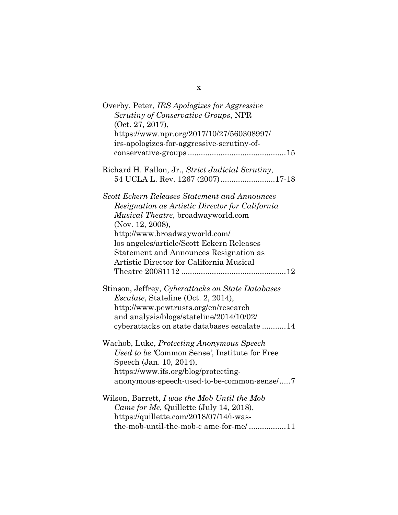| Overby, Peter, IRS Apologizes for Aggressive<br>Scrutiny of Conservative Groups, NPR<br>(Oct. 27, 2017),<br>https://www.npr.org/2017/10/27/560308997/<br>irs-apologizes-for-aggressive-scrutiny-of-<br>$conservative\text{-}groups \dots \dots \dots \dots \dots \dots \dots \dots \dots \dots \dots \dots \dots 15$                         |
|----------------------------------------------------------------------------------------------------------------------------------------------------------------------------------------------------------------------------------------------------------------------------------------------------------------------------------------------|
| Richard H. Fallon, Jr., Strict Judicial Scrutiny,<br>54 UCLA L. Rev. 1267 (2007)17-18                                                                                                                                                                                                                                                        |
| <b>Scott Eckern Releases Statement and Announces</b><br>Resignation as Artistic Director for California<br><i>Musical Theatre, broadwayworld.com</i><br>(Nov. 12, 2008),<br>http://www.broadwayworld.com/<br>los angeles/article/Scott Eckern Releases<br>Statement and Announces Resignation as<br>Artistic Director for California Musical |
| Stinson, Jeffrey, Cyberattacks on State Databases<br><i>Escalate</i> , Stateline (Oct. 2, 2014),<br>http://www.pewtrusts.org/en/research<br>and analysis/blogs/stateline/2014/10/02/<br>cyberattacks on state databases escalate 14                                                                                                          |
| Wachob, Luke, Protecting Anonymous Speech<br>Used to be 'Common Sense', Institute for Free<br>Speech (Jan. 10, 2014),<br>https://www.ifs.org/blog/protecting-<br>anonymous-speech-used-to-be-common-sense/7                                                                                                                                  |
| Wilson, Barrett, I was the Mob Until the Mob<br>Came for Me, Quillette (July 14, 2018),<br>https://quillette.com/2018/07/14/i-was-<br>the-mob-until-the-mob-c ame-for-me/11                                                                                                                                                                  |

x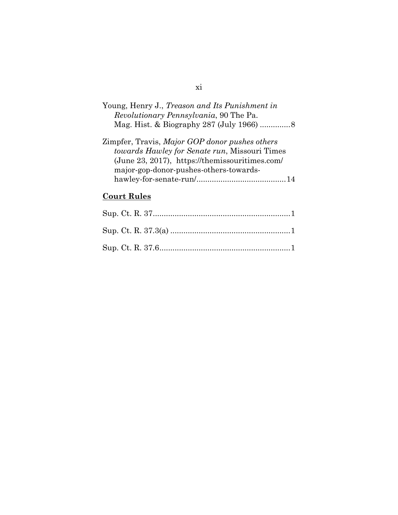| Young, Henry J., Treason and Its Punishment in |
|------------------------------------------------|
| <i>Revolutionary Pennsylvania</i> , 90 The Pa. |
|                                                |
|                                                |

| Zimpfer, Travis, Major GOP donor pushes others |  |
|------------------------------------------------|--|
| towards Hawley for Senate run, Missouri Times  |  |
| (June 23, 2017), https://themissouritimes.com/ |  |
| major-gop-donor-pushes-others-towards-         |  |
|                                                |  |

# **Court Rules**

# xi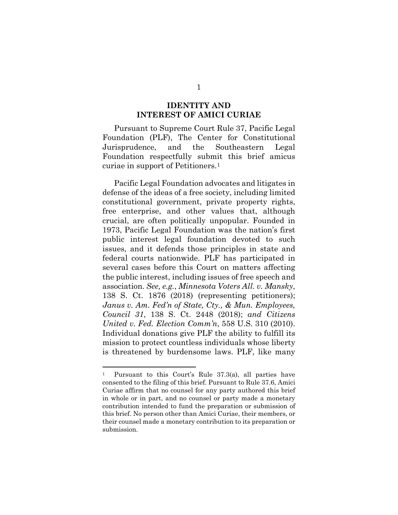#### <span id="page-12-3"></span>**IDENTITY AND INTEREST OF AMICI CURIAE**

Pursuant to Supreme Court Rule 37, Pacific Legal Foundation (PLF), The Center for Constitutional Jurisprudence, and the Southeastern Legal Foundation respectfully submit this brief amicus curiae in support of Petitioners.[1](#page-12-4)

Pacific Legal Foundation advocates and litigates in defense of the ideas of a free society, including limited constitutional government, private property rights, free enterprise, and other values that, although crucial, are often politically unpopular. Founded in 1973, Pacific Legal Foundation was the nation's first public interest legal foundation devoted to such issues, and it defends those principles in state and federal courts nationwide. PLF has participated in several cases before this Court on matters affecting the public interest, including issues of free speech and association. *See, e.g.*, *Minnesota Voters All. v. Mansky*, 138 S. Ct. 1876 (2018) (representing petitioners); *Janus v. Am. Fed'n of State, Cty., & Mun. Employees, Council 31*, 138 S. Ct. 2448 (2018); *and Citizens United v. Fed. Election Comm'n*, 558 U.S. 310 (2010). Individual donations give PLF the ability to fulfill its mission to protect countless individuals whose liberty is threatened by burdensome laws. PLF, like many

<span id="page-12-4"></span><span id="page-12-2"></span><span id="page-12-1"></span><span id="page-12-0"></span><sup>1</sup> Pursuant to this Court's Rule 37.3(a), all parties have consented to the filing of this brief. Pursuant to Rule 37.6, Amici Curiae affirm that no counsel for any party authored this brief in whole or in part, and no counsel or party made a monetary contribution intended to fund the preparation or submission of this brief. No person other than Amici Curiae, their members, or their counsel made a monetary contribution to its preparation or submission.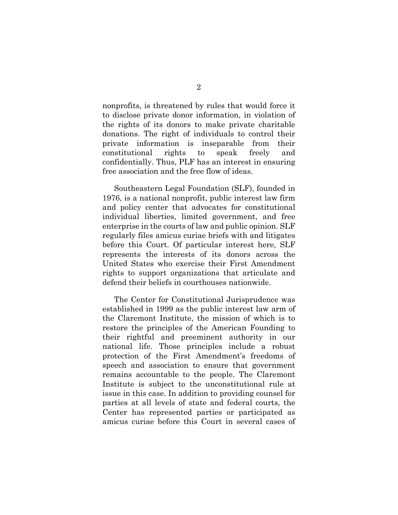nonprofits, is threatened by rules that would force it to disclose private donor information, in violation of the rights of its donors to make private charitable donations. The right of individuals to control their private information is inseparable from their constitutional rights to speak freely and confidentially. Thus, PLF has an interest in ensuring free association and the free flow of ideas.

Southeastern Legal Foundation (SLF), founded in 1976, is a national nonprofit, public interest law firm and policy center that advocates for constitutional individual liberties, limited government, and free enterprise in the courts of law and public opinion. SLF regularly files amicus curiae briefs with and litigates before this Court. Of particular interest here, SLF represents the interests of its donors across the United States who exercise their First Amendment rights to support organizations that articulate and defend their beliefs in courthouses nationwide.

The Center for Constitutional Jurisprudence was established in 1999 as the public interest law arm of the Claremont Institute, the mission of which is to restore the principles of the American Founding to their rightful and preeminent authority in our national life. Those principles include a robust protection of the First Amendment's freedoms of speech and association to ensure that government remains accountable to the people. The Claremont Institute is subject to the unconstitutional rule at issue in this case. In addition to providing counsel for parties at all levels of state and federal courts, the Center has represented parties or participated as amicus curiae before this Court in several cases of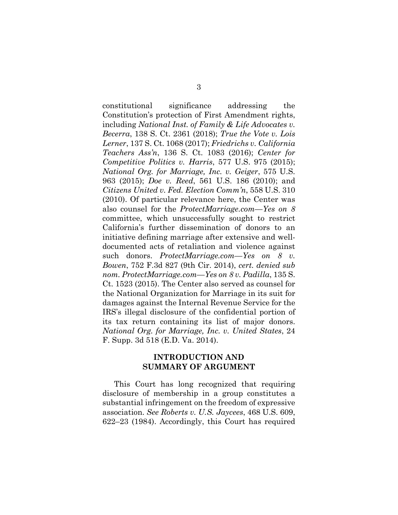<span id="page-14-9"></span><span id="page-14-5"></span><span id="page-14-4"></span><span id="page-14-3"></span><span id="page-14-2"></span><span id="page-14-1"></span><span id="page-14-0"></span>constitutional significance addressing the Constitution's protection of First Amendment rights, including *National Inst. of Family & Life Advocates v. Becerra*, 138 S. Ct. 2361 (2018); *True the Vote v. Lois Lerner*, 137 S. Ct. 1068 (2017); *Friedrichs v. California Teachers Ass'n*, 136 S. Ct. 1083 (2016); *Center for Competitive Politics v. Harris*, 577 U.S. 975 (2015); *National Org. for Marriage, Inc. v. Geiger*, 575 U.S. 963 (2015); *Doe v. Reed*, 561 U.S. 186 (2010); and *Citizens United v. Fed. Election Comm'n*, 558 U.S. 310 (2010). Of particular relevance here, the Center was also counsel for the *ProtectMarriage.com—Yes on 8* committee, which unsuccessfully sought to restrict California's further dissemination of donors to an initiative defining marriage after extensive and welldocumented acts of retaliation and violence against such donors. *ProtectMarriage.com—Yes on 8 v. Bowen*, 752 F.3d 827 (9th Cir. 2014), *cert. denied sub nom. ProtectMarriage.com—Yes on 8 v. Padilla*, 135 S. Ct. 1523 (2015). The Center also served as counsel for the National Organization for Marriage in its suit for damages against the Internal Revenue Service for the IRS's illegal disclosure of the confidential portion of its tax return containing its list of major donors. *National Org. for Marriage, Inc. v. United States*, 24 F. Supp. 3d 518 (E.D. Va. 2014).

#### <span id="page-14-8"></span><span id="page-14-7"></span><span id="page-14-6"></span>**INTRODUCTION AND SUMMARY OF ARGUMENT**

This Court has long recognized that requiring disclosure of membership in a group constitutes a substantial infringement on the freedom of expressive association. *See Roberts v. U.S. Jaycees*, 468 U.S. 609, 622–23 (1984). Accordingly, this Court has required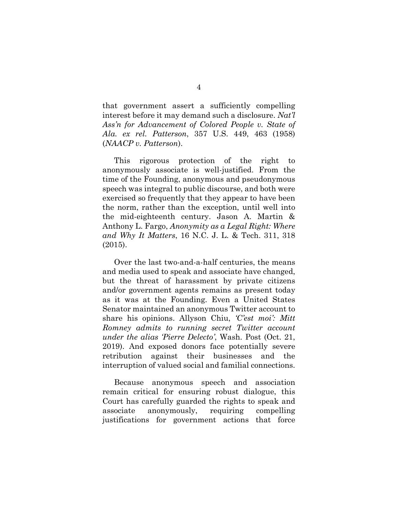<span id="page-15-0"></span>that government assert a sufficiently compelling interest before it may demand such a disclosure. *Nat'l Ass'n for Advancement of Colored People v. State of Ala. ex rel. Patterson*, 357 U.S. 449, 463 (1958) (*NAACP v. Patterson*).

This rigorous protection of the right to anonymously associate is well-justified. From the time of the Founding, anonymous and pseudonymous speech was integral to public discourse, and both were exercised so frequently that they appear to have been the norm, rather than the exception, until well into the mid-eighteenth century. Jason A. Martin & Anthony L. Fargo, *Anonymity as a Legal Right: Where and Why It Matters*, 16 N.C. J. L. & Tech. 311, 318 (2015).

<span id="page-15-2"></span><span id="page-15-1"></span>Over the last two-and-a-half centuries, the means and media used to speak and associate have changed, but the threat of harassment by private citizens and/or government agents remains as present today as it was at the Founding. Even a United States Senator maintained an anonymous Twitter account to share his opinions. Allyson Chiu, *'C'est moi': Mitt Romney admits to running secret Twitter account under the alias 'Pierre Delecto'*, Wash. Post (Oct. 21, 2019). And exposed donors face potentially severe retribution against their businesses and the interruption of valued social and familial connections.

Because anonymous speech and association remain critical for ensuring robust dialogue, this Court has carefully guarded the rights to speak and associate anonymously, requiring compelling justifications for government actions that force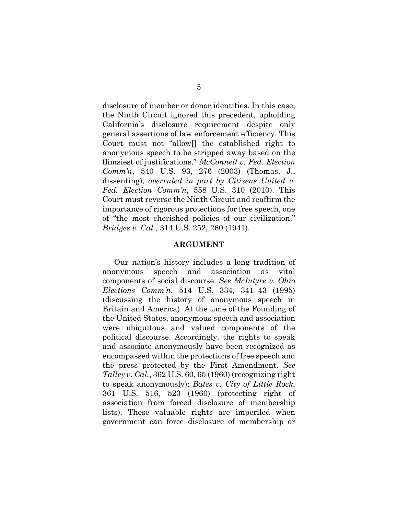disclosure of member or donor identities. In this case, the Ninth Circuit ignored this precedent, upholding California's disclosure requirement despite only general assertions of law enforcement efficiency. This Court must not "allow[] the established right to anonymous speech to be stripped away based on the flimsiest of justifications." *McConnell v. Fed. Election Comm'n*, 540 U.S. 93, 276 (2003) (Thomas, J., dissenting), *overruled in part by Citizens United v. Fed. Election Comm'n*, 558 U.S. 310 (2010). This Court must reverse the Ninth Circuit and reaffirm the importance of rigorous protections for free speech, one of "the most cherished policies of our civilization." *Bridges v. Cal.*, 314 U.S. 252, 260 (1941).

#### <span id="page-16-3"></span><span id="page-16-2"></span><span id="page-16-0"></span>**ARGUMENT**

<span id="page-16-4"></span><span id="page-16-1"></span>Our nation's history includes a long tradition of anonymous speech and association as vital components of social discourse. *See McIntyre v. Ohio Elections Comm'n*, 514 U.S. 334, 341–43 (1995) (discussing the history of anonymous speech in Britain and America). At the time of the Founding of the United States, anonymous speech and association were ubiquitous and valued components of the political discourse. Accordingly, the rights to speak and associate anonymously have been recognized as encompassed within the protections of free speech and the press protected by the First Amendment. *See Talley v. Cal.*, 362 U.S. 60, 65 (1960) (recognizing right to speak anonymously); *Bates v. City of Little Rock*, 361 U.S. 516, 523 (1960) (protecting right of association from forced disclosure of membership lists). These valuable rights are imperiled when government can force disclosure of membership or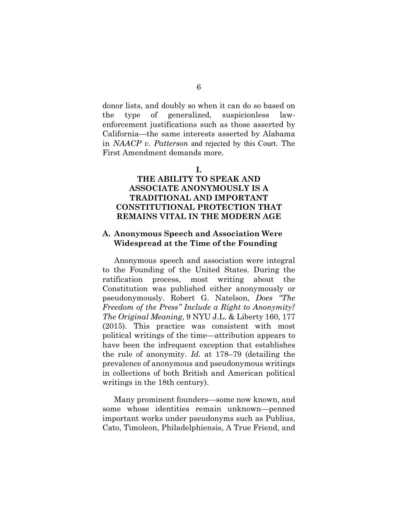donor lists, and doubly so when it can do so based on the type of generalized, suspicionless lawenforcement justifications such as those asserted by California—the same interests asserted by Alabama in *NAACP v. Patterson* and rejected by this Court. The First Amendment demands more.

**I.**

### **THE ABILITY TO SPEAK AND ASSOCIATE ANONYMOUSLY IS A TRADITIONAL AND IMPORTANT CONSTITUTIONAL PROTECTION THAT REMAINS VITAL IN THE MODERN AGE**

#### **A. Anonymous Speech and Association Were Widespread at the Time of the Founding**

<span id="page-17-0"></span>Anonymous speech and association were integral to the Founding of the United States. During the ratification process, most writing about the Constitution was published either anonymously or pseudonymously. Robert G. Natelson, *Does "The Freedom of the Press" Include a Right to Anonymity? The Original Meaning*, 9 NYU J.L. & Liberty 160, 177 (2015). This practice was consistent with most political writings of the time—attribution appears to have been the infrequent exception that establishes the rule of anonymity. *Id.* at 178–79 (detailing the prevalence of anonymous and pseudonymous writings in collections of both British and American political writings in the 18th century).

Many prominent founders—some now known, and some whose identities remain unknown—penned important works under pseudonyms such as Publius, Cato, Timoleon, Philadelphiensis, A True Friend, and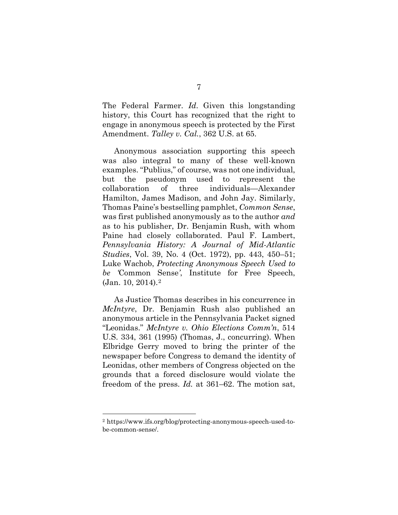<span id="page-18-3"></span>The Federal Farmer. *Id*. Given this longstanding history, this Court has recognized that the right to engage in anonymous speech is protected by the First Amendment. *Talley v. Cal.*, 362 U.S. at 65.

<span id="page-18-1"></span>Anonymous association supporting this speech was also integral to many of these well-known examples. "Publius," of course, was not one individual, but the pseudonym used to represent the collaboration of three individuals—Alexander Hamilton, James Madison, and John Jay. Similarly, Thomas Paine's bestselling pamphlet, *Common Sense*, was first published anonymously as to the author *and* as to his publisher, Dr. Benjamin Rush, with whom Paine had closely collaborated. Paul F. Lambert, *Pennsylvania History: A Journal of Mid-Atlantic Studies*, Vol. 39, No. 4 (Oct. 1972), pp. 443, 450–51; Luke Wachob, *Protecting Anonymous Speech Used to be '*Common Sense*'*, Institute for Free Speech, (Jan. 10, 2014).[2](#page-18-5) 

<span id="page-18-4"></span><span id="page-18-2"></span><span id="page-18-0"></span>As Justice Thomas describes in his concurrence in *McIntyre*, Dr. Benjamin Rush also published an anonymous article in the Pennsylvania Packet signed "Leonidas." *McIntyre v. Ohio Elections Comm'n*, 514 U.S. 334, 361 (1995) (Thomas, J., concurring). When Elbridge Gerry moved to bring the printer of the newspaper before Congress to demand the identity of Leonidas, other members of Congress objected on the grounds that a forced disclosure would violate the freedom of the press. *Id.* at 361–62. The motion sat,

<span id="page-18-5"></span><sup>2</sup> https://www.ifs.org/blog/protecting-anonymous-speech-used-tobe-common-sense/.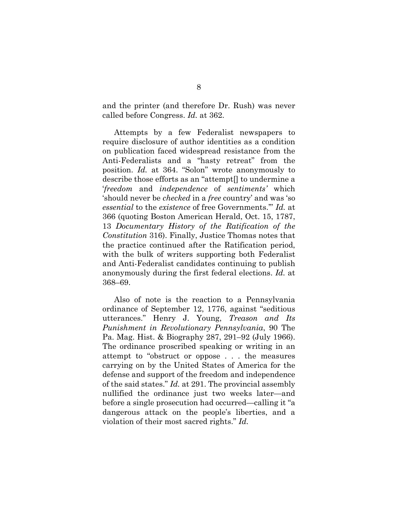<span id="page-19-0"></span>and the printer (and therefore Dr. Rush) was never called before Congress. *Id.* at 362.

Attempts by a few Federalist newspapers to require disclosure of author identities as a condition on publication faced widespread resistance from the Anti-Federalists and a "hasty retreat" from the position. *Id.* at 364. "Solon" wrote anonymously to describe those efforts as an "attempt[] to undermine a '*freedom* and *independence* of *sentiments'* which 'should never be *checked* in a *free* country' and was 'so *essential* to the *existence* of free Governments.'" *Id.* at 366 (quoting Boston American Herald, Oct. 15, 1787, 13 *Documentary History of the Ratification of the Constitution* 316). Finally, Justice Thomas notes that the practice continued after the Ratification period, with the bulk of writers supporting both Federalist and Anti-Federalist candidates continuing to publish anonymously during the first federal elections. *Id.* at 368–69.

<span id="page-19-1"></span>Also of note is the reaction to a Pennsylvania ordinance of September 12, 1776, against "seditious utterances." Henry J. Young, *Treason and Its Punishment in Revolutionary Pennsylvania*, 90 The Pa. Mag. Hist. & Biography 287, 291–92 (July 1966). The ordinance proscribed speaking or writing in an attempt to "obstruct or oppose . . . the measures carrying on by the United States of America for the defense and support of the freedom and independence of the said states." *Id.* at 291. The provincial assembly nullified the ordinance just two weeks later—and before a single prosecution had occurred—calling it "a dangerous attack on the people's liberties, and a violation of their most sacred rights." *Id.*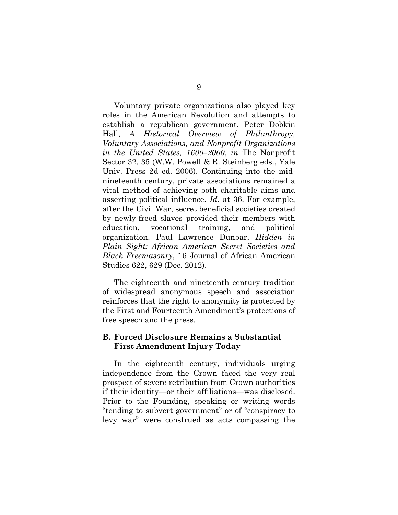<span id="page-20-0"></span>Voluntary private organizations also played key roles in the American Revolution and attempts to establish a republican government. Peter Dobkin Hall, *A Historical Overview of Philanthropy, Voluntary Associations, and Nonprofit Organizations in the United States, 1600–2000*, *in* The Nonprofit Sector 32, 35 (W.W. Powell & R. Steinberg eds., Yale Univ. Press 2d ed. 2006). Continuing into the midnineteenth century, private associations remained a vital method of achieving both charitable aims and asserting political influence. *Id.* at 36. For example, after the Civil War, secret beneficial societies created by newly-freed slaves provided their members with education, vocational training, and political organization. Paul Lawrence Dunbar, *Hidden in Plain Sight: African American Secret Societies and Black Freemasonry*, 16 Journal of African American Studies 622, 629 (Dec. 2012).

The eighteenth and nineteenth century tradition of widespread anonymous speech and association reinforces that the right to anonymity is protected by the First and Fourteenth Amendment's protections of free speech and the press.

#### **B. Forced Disclosure Remains a Substantial First Amendment Injury Today**

In the eighteenth century, individuals urging independence from the Crown faced the very real prospect of severe retribution from Crown authorities if their identity—or their affiliations—was disclosed. Prior to the Founding, speaking or writing words "tending to subvert government" or of "conspiracy to levy war" were construed as acts compassing the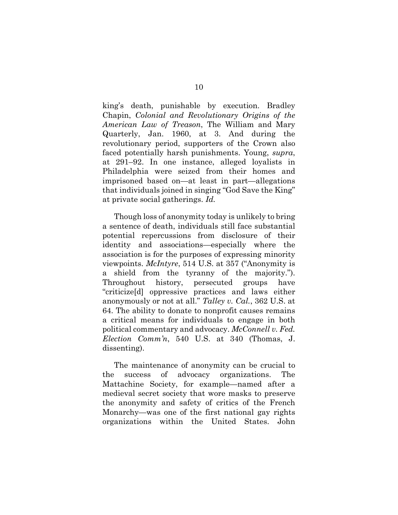<span id="page-21-3"></span>king's death, punishable by execution. Bradley Chapin, *Colonial and Revolutionary Origins of the American Law of Treason*, The William and Mary Quarterly, Jan. 1960, at 3. And during the revolutionary period, supporters of the Crown also faced potentially harsh punishments. Young, *supra*, at 291–92. In one instance, alleged loyalists in Philadelphia were seized from their homes and imprisoned based on—at least in part—allegations that individuals joined in singing "God Save the King" at private social gatherings. *Id.*

<span id="page-21-4"></span><span id="page-21-1"></span>Though loss of anonymity today is unlikely to bring a sentence of death, individuals still face substantial potential repercussions from disclosure of their identity and associations—especially where the association is for the purposes of expressing minority viewpoints. *McIntyre*, 514 U.S. at 357 ("Anonymity is a shield from the tyranny of the majority."). Throughout history, persecuted groups have "criticize[d] oppressive practices and laws either anonymously or not at all." *Talley v. Cal.*, 362 U.S. at 64. The ability to donate to nonprofit causes remains a critical means for individuals to engage in both political commentary and advocacy. *McConnell v. Fed. Election Comm'n*, 540 U.S. at 340 (Thomas, J. dissenting).

<span id="page-21-5"></span><span id="page-21-2"></span><span id="page-21-0"></span>The maintenance of anonymity can be crucial to the success of advocacy organizations. The Mattachine Society, for example—named after a medieval secret society that wore masks to preserve the anonymity and safety of critics of the French Monarchy—was one of the first national gay rights organizations within the United States. John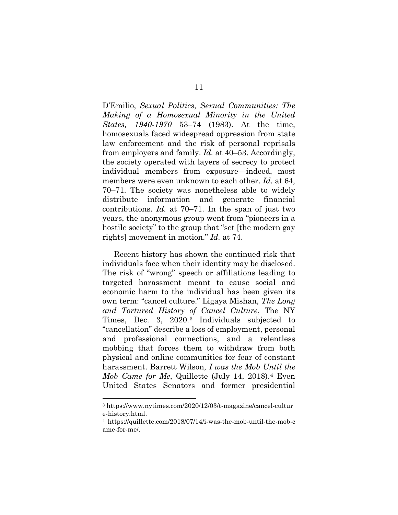<span id="page-22-0"></span>D'Emilio, *Sexual Politics, Sexual Communities: The Making of a Homosexual Minority in the United States, 1940-1970* 53–74 (1983). At the time, homosexuals faced widespread oppression from state law enforcement and the risk of personal reprisals from employers and family. *Id.* at 40–53. Accordingly, the society operated with layers of secrecy to protect individual members from exposure—indeed, most members were even unknown to each other. *Id.* at 64, 70–71. The society was nonetheless able to widely distribute information and generate financial contributions. *Id.* at 70–71. In the span of just two years, the anonymous group went from "pioneers in a hostile society" to the group that "set [the modern gay rights] movement in motion." *Id.* at 74.

<span id="page-22-1"></span>Recent history has shown the continued risk that individuals face when their identity may be disclosed. The risk of "wrong" speech or affiliations leading to targeted harassment meant to cause social and economic harm to the individual has been given its own term: "cancel culture." Ligaya Mishan, *The Long and Tortured History of Cancel Culture*, The NY Times, Dec. 3, 2020.[3](#page-22-3) Individuals subjected to "cancellation" describe a loss of employment, personal and professional connections, and a relentless mobbing that forces them to withdraw from both physical and online communities for fear of constant harassment. Barrett Wilson, *I was the Mob Until the Mob Came for Me*, Quillette (July 14, 2018).[4](#page-22-4) Even United States Senators and former presidential

<span id="page-22-3"></span><span id="page-22-2"></span><sup>3</sup> https://www.nytimes.com/2020/12/03/t-magazine/cancel-cultur e-history.html. 4 https://quillette.com/2018/07/14/i-was-the-mob-until-the-mob-c

<span id="page-22-4"></span>ame-for-me/.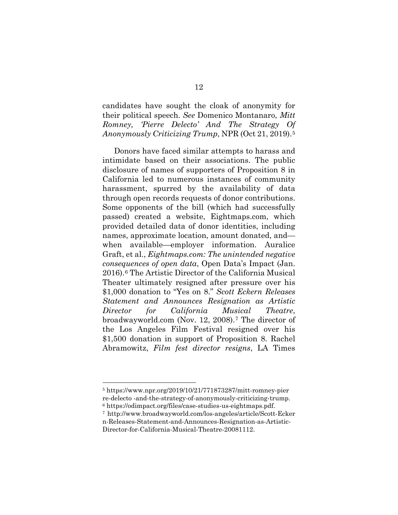<span id="page-23-2"></span>candidates have sought the cloak of anonymity for their political speech. *See* Domenico Montanaro, *Mitt Romney, 'Pierre Delecto' And The Strategy Of Anonymously Criticizing Trump*, NPR (Oct 21, 2019).[5](#page-23-4)

<span id="page-23-1"></span>Donors have faced similar attempts to harass and intimidate based on their associations. The public disclosure of names of supporters of Proposition 8 in California led to numerous instances of community harassment, spurred by the availability of data through open records requests of donor contributions. Some opponents of the bill (which had successfully passed) created a website, Eightmaps.com, which provided detailed data of donor identities, including names, approximate location, amount donated, and when available—employer information. Auralice Graft, et al., *Eightmaps.com: The unintended negative consequences of open data*, Open Data's Impact (Jan. 2016).[6](#page-23-5) The Artistic Director of the California Musical Theater ultimately resigned after pressure over his \$1,000 donation to "Yes on 8." *Scott Eckern Releases Statement and Announces Resignation as Artistic Director for California Musical Theatre*, broadwayworld.com (Nov. 12, 2008).[7](#page-23-6) The director of the Los Angeles Film Festival resigned over his \$1,500 donation in support of Proposition 8. Rachel Abramowitz, *Film fest director resigns*, LA Times

<span id="page-23-4"></span><span id="page-23-3"></span><span id="page-23-0"></span><sup>5</sup> https://www.npr.org/2019/10/21/771873287/mitt-romney-pier re-delecto -and-the-strategy-of-anonymously-criticizing-trump. <sup>6</sup> https://odimpact.org/files/case-studies-us-eightmaps.pdf.

<span id="page-23-6"></span><span id="page-23-5"></span><sup>7</sup> http://www.broadwayworld.com/los-angeles/article/Scott-Ecker n-Releases-Statement-and-Announces-Resignation-as-Artistic-Director-for-California-Musical-Theatre-20081112.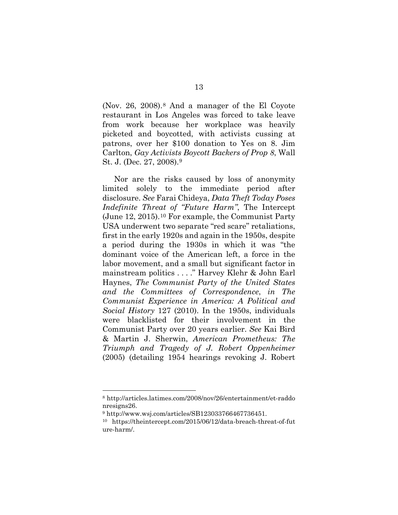<span id="page-24-1"></span>(Nov. 26, 2008).[8](#page-24-4) And a manager of the El Coyote restaurant in Los Angeles was forced to take leave from work because her workplace was heavily picketed and boycotted, with activists cussing at patrons, over her \$100 donation to Yes on 8. Jim Carlton, *Gay Activists Boycott Backers of Prop 8*, Wall St. J. (Dec. 27, 2008).[9](#page-24-5)

<span id="page-24-3"></span><span id="page-24-2"></span>Nor are the risks caused by loss of anonymity limited solely to the immediate period after disclosure. *See* Farai Chideya, *Data Theft Today Poses Indefinite Threat of "Future Harm"*, The Intercept (June 12, 2015).[10](#page-24-6) For example, the Communist Party USA underwent two separate "red scare" retaliations, first in the early 1920s and again in the 1950s, despite a period during the 1930s in which it was "the dominant voice of the American left, a force in the labor movement, and a small but significant factor in mainstream politics . . . ." Harvey Klehr & John Earl Haynes, *The Communist Party of the United States and the Committees of Correspondence*, *in The Communist Experience in America: A Political and Social History* 127 (2010). In the 1950s, individuals were blacklisted for their involvement in the Communist Party over 20 years earlier. *See* Kai Bird & Martin J. Sherwin, *American Prometheus: The Triumph and Tragedy of J. Robert Oppenheimer* (2005) (detailing 1954 hearings revoking J. Robert

<span id="page-24-4"></span><span id="page-24-0"></span><sup>8</sup> http://articles.latimes.com/2008/nov/26/entertainment/et-raddo nresigns26.

<span id="page-24-5"></span><sup>9</sup> http://www.wsj.com/articles/SB123033766467736451.

<span id="page-24-6"></span><sup>10</sup> https://theintercept.com/2015/06/12/data-breach-threat-of-fut ure-harm/.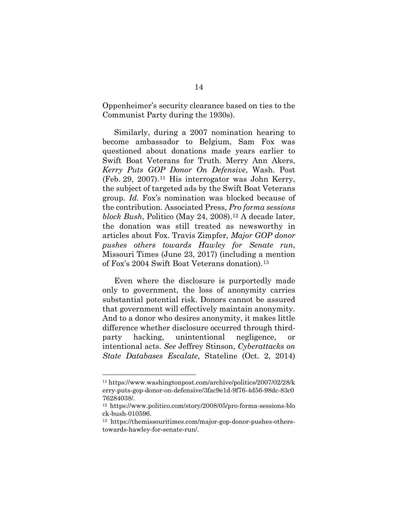Oppenheimer's security clearance based on ties to the Communist Party during the 1930s).

<span id="page-25-2"></span><span id="page-25-1"></span><span id="page-25-0"></span>Similarly, during a 2007 nomination hearing to become ambassador to Belgium, Sam Fox was questioned about donations made years earlier to Swift Boat Veterans for Truth. Merry Ann Akers, *Kerry Puts GOP Donor On Defensive*, Wash. Post (Feb. 29, 2007).[11](#page-25-5) His interrogator was John Kerry, the subject of targeted ads by the Swift Boat Veterans group. *Id.* Fox's nomination was blocked because of the contribution. Associated Press, *Pro forma sessions block Bush*, Politico (May 24, 2008).<sup>[12](#page-25-6)</sup> A decade later, the donation was still treated as newsworthy in articles about Fox. Travis Zimpfer, *Major GOP donor pushes others towards Hawley for Senate run*, Missouri Times (June 23, 2017) (including a mention of Fox's 2004 Swift Boat Veterans donation).<sup>[13](#page-25-7)</sup>

<span id="page-25-4"></span>Even where the disclosure is purportedly made only to government, the loss of anonymity carries substantial potential risk. Donors cannot be assured that government will effectively maintain anonymity. And to a donor who desires anonymity, it makes little difference whether disclosure occurred through thirdparty hacking, unintentional negligence, or intentional acts. *See* Jeffrey Stinson, *Cyberattacks on State Databases Escalate*, Stateline (Oct. 2, 2014)

<span id="page-25-5"></span><span id="page-25-3"></span><sup>11</sup> https://www.washingtonpost.com/archive/politics/2007/02/28/k erry-puts-gop-donor-on-defensive/3fac9e1d-9f76-4d56-98dc-83c0 76284038/.

<span id="page-25-6"></span><sup>12</sup> https://www.politico.com/story/2008/05/pro-forma-sessions-blo ck-bush-010596.

<span id="page-25-7"></span><sup>13</sup> https://themissouritimes.com/major-gop-donor-pushes-otherstowards-hawley-for-senate-run/.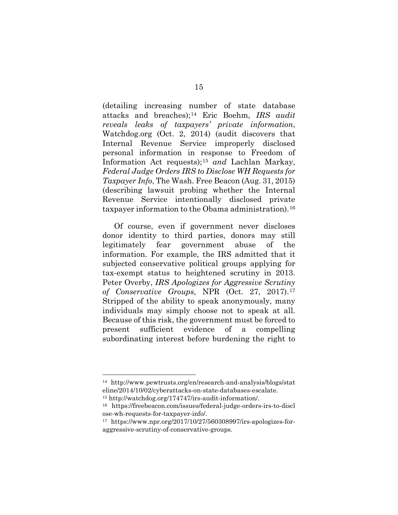<span id="page-26-1"></span><span id="page-26-0"></span>(detailing increasing number of state database attacks and breaches);[14](#page-26-3) Eric Boehm, *IRS audit reveals leaks of taxpayers' private information*, Watchdog.org (Oct. 2, 2014) (audit discovers that Internal Revenue Service improperly disclosed personal information in response to Freedom of Information Act requests);[15](#page-26-4) *and* Lachlan Markay, *Federal Judge Orders IRS to Disclose WH Requests for Taxpayer Info*, The Wash. Free Beacon (Aug. 31, 2015) (describing lawsuit probing whether the Internal Revenue Service intentionally disclosed private taxpayer information to the Obama administration).[16](#page-26-5)

<span id="page-26-2"></span>Of course, even if government never discloses donor identity to third parties, donors may still legitimately fear government abuse of the information. For example, the IRS admitted that it subjected conservative political groups applying for tax-exempt status to heightened scrutiny in 2013. Peter Overby, *IRS Apologizes for Aggressive Scrutiny of Conservative Groups*, NPR (Oct. 27, 2017).[17](#page-26-6) Stripped of the ability to speak anonymously, many individuals may simply choose not to speak at all. Because of this risk, the government must be forced to present sufficient evidence of a compelling subordinating interest before burdening the right to

<span id="page-26-3"></span><sup>14</sup> http://www.pewtrusts.org/en/research-and-analysis/blogs/stat eline/2014/10/02/cyberattacks-on-state-databases-escalate.

<span id="page-26-4"></span><sup>15</sup> http://watchdog.org/174747/irs-audit-information/.

<span id="page-26-5"></span><sup>16</sup> https://freebeacon.com/issues/federal-judge-orders-irs-to-discl ose-wh-requests-for-taxpayer-info/.

<span id="page-26-6"></span><sup>17</sup> https://www.npr.org/2017/10/27/560308997/irs-apologizes-foraggressive-scrutiny-of-conservative-groups.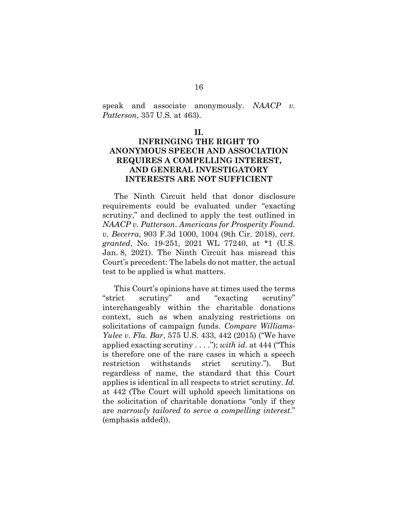speak and associate anonymously. *NAACP v. Patterson*, 357 U.S. at 463).

#### **II.**

### **INFRINGING THE RIGHT TO ANONYMOUS SPEECH AND ASSOCIATION REQUIRES A COMPELLING INTEREST, AND GENERAL INVESTIGATORY INTERESTS ARE NOT SUFFICIENT**

The Ninth Circuit held that donor disclosure requirements could be evaluated under "exacting scrutiny," and declined to apply the test outlined in *NAACP v. Patterson*. *Americans for Prosperity Found. v. Becerra*, 903 F.3d 1000, 1004 (9th Cir. 2018), *cert. granted*, No. 19-251, 2021 WL 77240, at \*1 (U.S. Jan. 8, 2021). The Ninth Circuit has misread this Court's precedent: The labels do not matter, the actual test to be applied is what matters.

<span id="page-27-0"></span>This Court's opinions have at times used the terms "strict scrutiny" and "exacting scrutiny" interchangeably within the charitable donations context, such as when analyzing restrictions on solicitations of campaign funds. *Compare Williams-Yulee v. Fla. Bar*, 575 U.S. 433, 442 (2015) ("We have applied exacting scrutiny . . . ."); *with id.* at 444 ("This is therefore one of the rare cases in which a speech restriction withstands strict scrutiny."). But regardless of name, the standard that this Court applies is identical in all respects to strict scrutiny. *Id.* at 442 (The Court will uphold speech limitations on the solicitation of charitable donations "only if they are *narrowly tailored to serve a compelling interest*." (emphasis added)).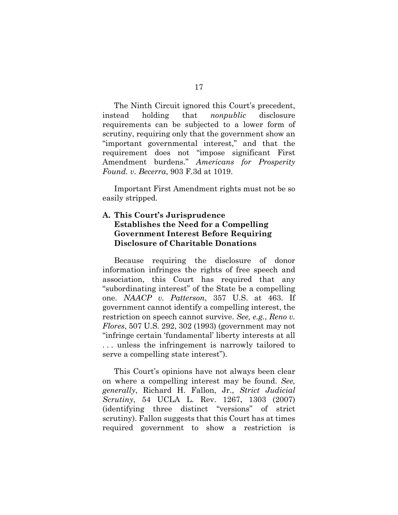The Ninth Circuit ignored this Court's precedent, instead holding that *nonpublic* disclosure requirements can be subjected to a lower form of scrutiny, requiring only that the government show an "important governmental interest," and that the requirement does not "impose significant First Amendment burdens." *Americans for Prosperity Found. v. Becerra*, 903 F.3d at 1019.

Important First Amendment rights must not be so easily stripped.

#### **A. This Court's Jurisprudence Establishes the Need for a Compelling Government Interest Before Requiring Disclosure of Charitable Donations**

<span id="page-28-0"></span>Because requiring the disclosure of donor information infringes the rights of free speech and association, this Court has required that any "subordinating interest" of the State be a compelling one. *NAACP v. Patterson*, 357 U.S. at 463. If government cannot identify a compelling interest, the restriction on speech cannot survive. *See, e.g.*, *Reno v. Flores*, 507 U.S. 292, 302 (1993) (government may not "infringe certain 'fundamental' liberty interests at all . . . unless the infringement is narrowly tailored to serve a compelling state interest").

<span id="page-28-1"></span>This Court's opinions have not always been clear on where a compelling interest may be found. *See, generally*, Richard H. Fallon, Jr., *Strict Judicial Scrutiny*, 54 UCLA L. Rev. 1267, 1303 (2007) (identifying three distinct "versions" of strict scrutiny). Fallon suggests that this Court has at times required government to show a restriction is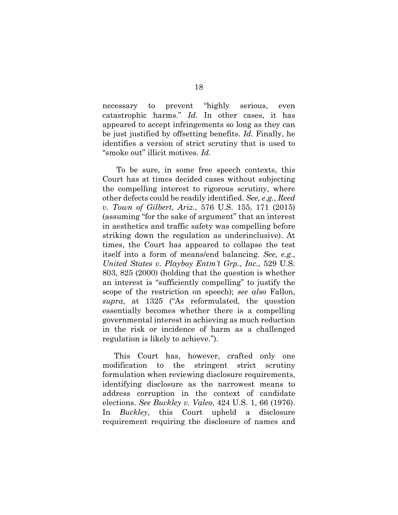<span id="page-29-3"></span>necessary to prevent "highly serious, even catastrophic harms." *Id.* In other cases, it has appeared to accept infringements so long as they can be just justified by offsetting benefits. *Id.* Finally, he identifies a version of strict scrutiny that is used to "smoke out" illicit motives. *Id.*

<span id="page-29-2"></span><span id="page-29-1"></span>To be sure, in some free speech contexts, this Court has at times decided cases without subjecting the compelling interest to rigorous scrutiny, where other defects could be readily identified. *See, e.g.*, *Reed v. Town of Gilbert, Ariz.*, 576 U.S. 155, 171 (2015) (assuming "for the sake of argument" that an interest in aesthetics and traffic safety was compelling before striking down the regulation as underinclusive). At times, the Court has appeared to collapse the test itself into a form of means/end balancing. *See, e.g.*, *United States v. Playboy Entm't Grp., Inc.*, 529 U.S. 803, 825 (2000) (holding that the question is whether an interest is "sufficiently compelling" to justify the scope of the restriction on speech); *see also* Fallon, *supra*, at 1325 ("As reformulated, the question essentially becomes whether there is a compelling governmental interest in achieving as much reduction in the risk or incidence of harm as a challenged regulation is likely to achieve.").

<span id="page-29-0"></span>This Court has, however, crafted only one modification to the stringent strict scrutiny formulation when reviewing disclosure requirements, identifying disclosure as the narrowest means to address corruption in the context of candidate elections. *See Buckley v. Valeo*, 424 U.S. 1, 66 (1976). In *Buckley*, this Court upheld a disclosure requirement requiring the disclosure of names and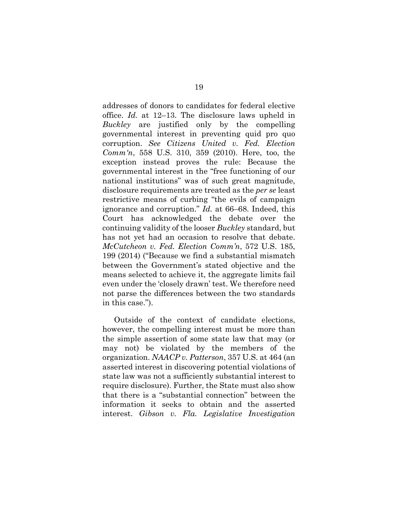<span id="page-30-1"></span>addresses of donors to candidates for federal elective office. *Id.* at 12–13. The disclosure laws upheld in *Buckley* are justified only by the compelling governmental interest in preventing quid pro quo corruption. *See Citizens United v. Fed. Election Comm'n*, 558 U.S. 310, 359 (2010). Here, too, the exception instead proves the rule: Because the governmental interest in the "free functioning of our national institutions" was of such great magnitude, disclosure requirements are treated as the *per se* least restrictive means of curbing "the evils of campaign ignorance and corruption." *Id.* at 66–68. Indeed, this Court has acknowledged the debate over the continuing validity of the looser *Buckley* standard, but has not yet had an occasion to resolve that debate. *McCutcheon v. Fed. Election Comm'n*, 572 U.S. 185, 199 (2014) ("Because we find a substantial mismatch between the Government's stated objective and the means selected to achieve it, the aggregate limits fail even under the 'closely drawn' test. We therefore need not parse the differences between the two standards in this case.").

<span id="page-30-3"></span><span id="page-30-2"></span><span id="page-30-0"></span>Outside of the context of candidate elections, however, the compelling interest must be more than the simple assertion of some state law that may (or may not) be violated by the members of the organization. *NAACP v. Patterson*, 357 U.S. at 464 (an asserted interest in discovering potential violations of state law was not a sufficiently substantial interest to require disclosure). Further, the State must also show that there is a "substantial connection" between the information it seeks to obtain and the asserted interest. *Gibson v. Fla. Legislative Investigation*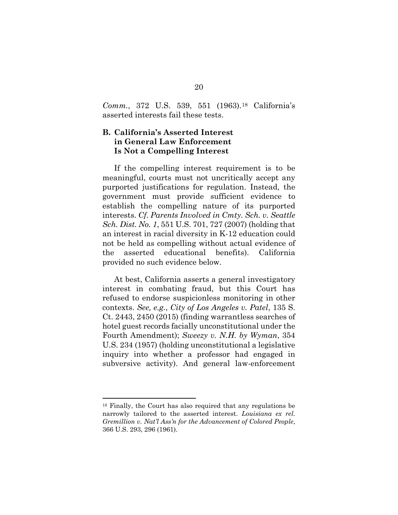*Comm.*, 372 U.S. 539, 551 (1963).[18](#page-31-4) California's asserted interests fail these tests.

#### **B. California's Asserted Interest in General Law Enforcement Is Not a Compelling Interest**

<span id="page-31-2"></span>If the compelling interest requirement is to be meaningful, courts must not uncritically accept any purported justifications for regulation. Instead, the government must provide sufficient evidence to establish the compelling nature of its purported interests. *Cf*. *Parents Involved in Cmty. Sch. v. Seattle Sch. Dist. No. 1*, 551 U.S. 701, 727 (2007) (holding that an interest in racial diversity in K-12 education could not be held as compelling without actual evidence of the asserted educational benefits). California provided no such evidence below.

<span id="page-31-3"></span><span id="page-31-0"></span>At best, California asserts a general investigatory interest in combating fraud, but this Court has refused to endorse suspicionless monitoring in other contexts. *See, e.g.*, *City of Los Angeles v. Patel*, 135 S. Ct. 2443, 2450 (2015) (finding warrantless searches of hotel guest records facially unconstitutional under the Fourth Amendment); *Sweezy v. N.H. by Wyman*, 354 U.S. 234 (1957) (holding unconstitutional a legislative inquiry into whether a professor had engaged in subversive activity). And general law-enforcement

<span id="page-31-4"></span><span id="page-31-1"></span><sup>18</sup> Finally, the Court has also required that any regulations be narrowly tailored to the asserted interest. *Louisiana ex rel. Gremillion v. Nat'l Ass'n for the Advancement of Colored People*, 366 U.S. 293, 296 (1961).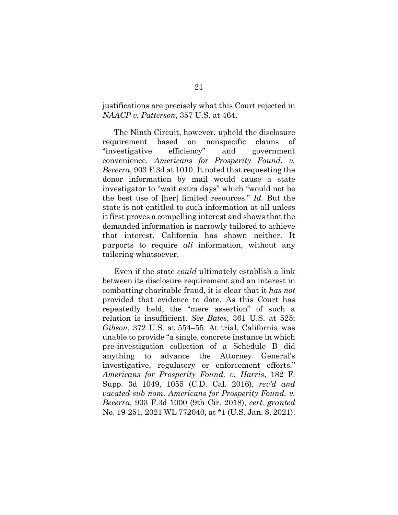justifications are precisely what this Court rejected in *NAACP v. Patterson*, 357 U.S. at 464.

The Ninth Circuit, however, upheld the disclosure requirement based on nonspecific claims of "investigative efficiency" and government convenience. *Americans for Prosperity Found. v. Becerra*, 903 F.3d at 1010. It noted that requesting the donor information by mail would cause a state investigator to "wait extra days" which "would not be the best use of [her] limited resources." *Id.* But the state is not entitled to such information at all unless it first proves a compelling interest and shows that the demanded information is narrowly tailored to achieve that interest. California has shown neither. It purports to require *all* information, without any tailoring whatsoever.

<span id="page-32-2"></span><span id="page-32-1"></span><span id="page-32-0"></span>Even if the state *could* ultimately establish a link between its disclosure requirement and an interest in combatting charitable fraud, it is clear that it *has not* provided that evidence to date. As this Court has repeatedly held, the "mere assertion" of such a relation is insufficient. *See Bates*, 361 U.S. at 525; *Gibson*, 372 U.S. at 554–55. At trial, California was unable to provide "a single, concrete instance in which pre-investigation collection of a Schedule B did anything to advance the Attorney General's investigative, regulatory or enforcement efforts." *Americans for Prosperity Found. v. Harris*, 182 F. Supp. 3d 1049, 1055 (C.D. Cal. 2016), *rev'd and vacated sub nom. Americans for Prosperity Found. v. Becerra*, 903 F.3d 1000 (9th Cir. 2018), *cert. granted*  No. 19-251, 2021 WL 772040, at \*1 (U.S. Jan. 8, 2021).